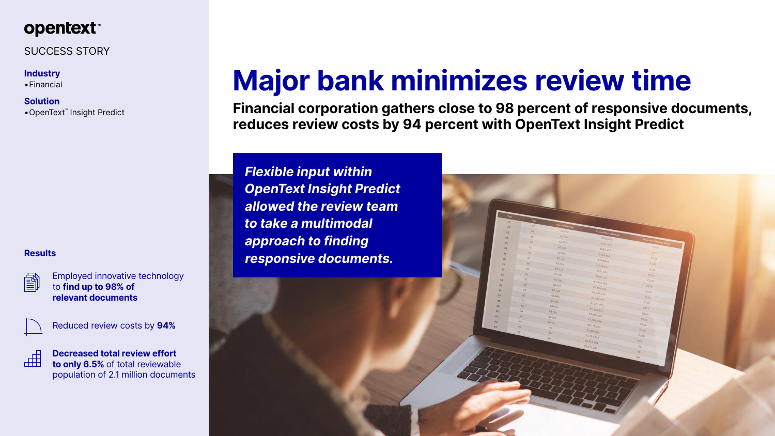

### SUCCESS STORY

### **Industry**

•Financial

**Solution**

•OpenText™ Insight Predict

# **Major bank minimizes review time**

**Financial corporation gathers close to 98 percent of responsive documents, reduces review costs by 94 percent with OpenText Insight Predict**

*Flexible input within OpenText Insight Predict allowed the review team to take a multimodal approach to finding responsive documents.* **Results**





Employed innovative technology to **find up to 98% of relevant documents**



Reduced review costs by **94%**



**Decreased total review effort to only 6.5%** of total reviewable population of 2.1 million documents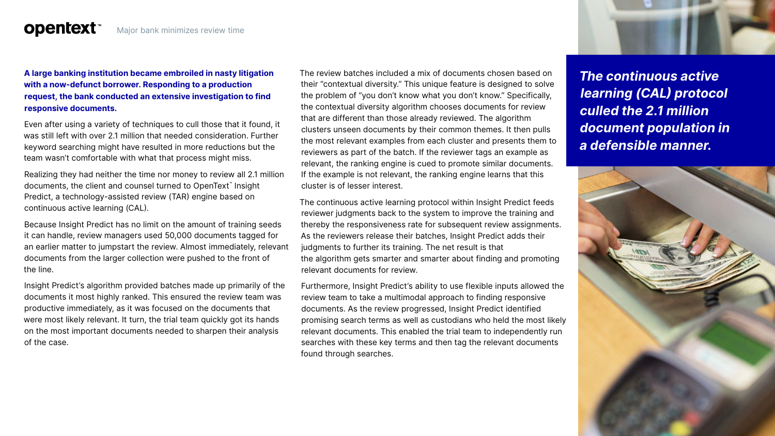## **opentext™**

### **A large banking institution became embroiled in nasty litigation with a now-defunct borrower. Responding to a production request, the bank conducted an extensive investigation to find responsive documents.**

Even after using a variety of techniques to cull those that it found, it was still left with over 2.1 million that needed consideration. Further keyword searching might have resulted in more reductions but the team wasn't comfortable with what that process might miss.

Realizing they had neither the time nor money to review all 2.1 million documents, the client and counsel turned to OpenText™ Insight Predict, a technology-assisted review (TAR) engine based on continuous active learning (CAL).

Because Insight Predict has no limit on the amount of training seeds it can handle, review managers used 50,000 documents tagged for an earlier matter to jumpstart the review. Almost immediately, relevant documents from the larger collection were pushed to the front of the line.

Insight Predict's algorithm provided batches made up primarily of the documents it most highly ranked. This ensured the review team was productive immediately, as it was focused on the documents that were most likely relevant. It turn, the trial team quickly got its hands on the most important documents needed to sharpen their analysis of the case.

The review batches included a mix of documents chosen based on their "contextual diversity." This unique feature is designed to solve the problem of "you don't know what you don't know." Specifically, the contextual diversity algorithm chooses documents for review that are different than those already reviewed. The algorithm clusters unseen documents by their common themes. It then pulls the most relevant examples from each cluster and presents them to reviewers as part of the batch. If the reviewer tags an example as relevant, the ranking engine is cued to promote similar documents. If the example is not relevant, the ranking engine learns that this cluster is of lesser interest.

The continuous active learning protocol within Insight Predict feeds reviewer judgments back to the system to improve the training and thereby the responsiveness rate for subsequent review assignments. As the reviewers release their batches, Insight Predict adds their judgments to further its training. The net result is that the algorithm gets smarter and smarter about finding and promoting relevant documents for review.

Furthermore, Insight Predict's ability to use flexible inputs allowed the review team to take a multimodal approach to finding responsive documents. As the review progressed, Insight Predict identified promising search terms as well as custodians who held the most likely relevant documents. This enabled the trial team to independently run searches with these key terms and then tag the relevant documents found through searches.



*The continuous active learning (CAL) protocol culled the 2.1 million document population in a defensible manner.*